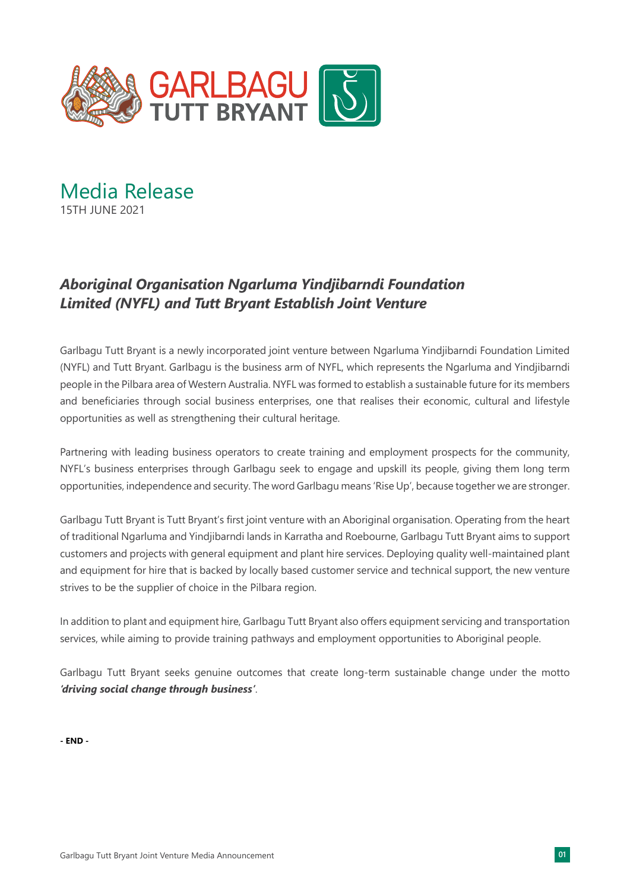

Media Release 15TH JUNE 2021

## *Aboriginal Organisation Ngarluma Yindjibarndi Foundation Limited (NYFL) and Tutt Bryant Establish Joint Venture*

Garlbagu Tutt Bryant is a newly incorporated joint venture between Ngarluma Yindjibarndi Foundation Limited (NYFL) and Tutt Bryant. Garlbagu is the business arm of NYFL, which represents the Ngarluma and Yindjibarndi people in the Pilbara area of Western Australia. NYFL was formed to establish a sustainable future for its members and beneficiaries through social business enterprises, one that realises their economic, cultural and lifestyle opportunities as well as strengthening their cultural heritage.

Partnering with leading business operators to create training and employment prospects for the community, NYFL's business enterprises through Garlbagu seek to engage and upskill its people, giving them long term opportunities, independence and security. The word Garlbagu means 'Rise Up', because together we are stronger.

Garlbagu Tutt Bryant is Tutt Bryant's first joint venture with an Aboriginal organisation. Operating from the heart of traditional Ngarluma and Yindjibarndi lands in Karratha and Roebourne, Garlbagu Tutt Bryant aims to support customers and projects with general equipment and plant hire services. Deploying quality well-maintained plant and equipment for hire that is backed by locally based customer service and technical support, the new venture strives to be the supplier of choice in the Pilbara region.

In addition to plant and equipment hire, Garlbagu Tutt Bryant also offers equipment servicing and transportation services, while aiming to provide training pathways and employment opportunities to Aboriginal people.

Garlbagu Tutt Bryant seeks genuine outcomes that create long-term sustainable change under the motto *'driving social change through business'*.

**- END -**